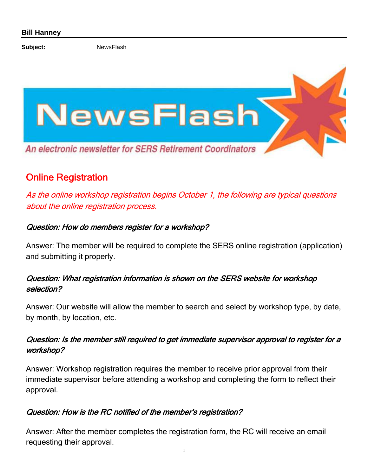Subject: NewsFlash



# Online Registration

As the online workshop registration begins October 1, the following are typical questions about the online registration process.

### Question: How do members register for a workshop?

Answer: The member will be required to complete the SERS online registration (application) and submitting it properly.

## Question: What registration information is shown on the SERS website for workshop selection?

Answer: Our website will allow the member to search and select by workshop type, by date, by month, by location, etc.

## Question: Is the member still required to get immediate supervisor approval to register for a workshop?

Answer: Workshop registration requires the member to receive prior approval from their immediate supervisor before attending a workshop and completing the form to reflect their approval.

#### Question: How is the RC notified of the member's registration?

Answer: After the member completes the registration form, the RC will receive an email requesting their approval.